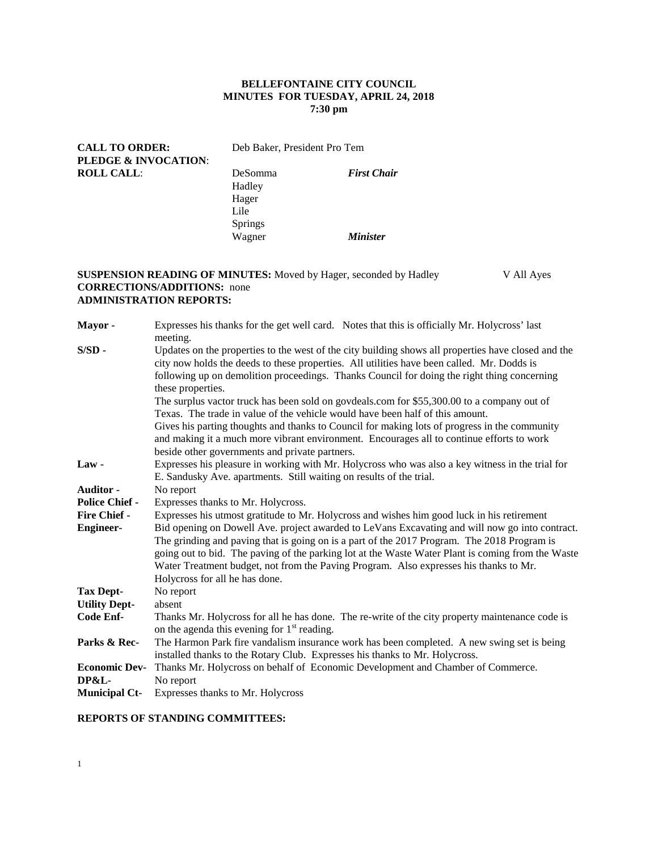# **BELLEFONTAINE CITY COUNCIL MINUTES FOR TUESDAY, APRIL 24, 2018 7:30 pm**

| <b>CALL TO ORDER:</b><br><b>PLEDGE &amp; INVOCATION:</b> | Deb Baker, President Pro Tem |                        |
|----------------------------------------------------------|------------------------------|------------------------|
| <b>ROLL CALL:</b>                                        | DeSomma                      | <b>First Chair</b>     |
|                                                          | Hadley                       |                        |
|                                                          | Hager                        |                        |
|                                                          | Lile                         |                        |
|                                                          | <b>Springs</b>               |                        |
|                                                          | Wagner                       | <i><b>Minister</b></i> |

### **SUSPENSION READING OF MINUTES:** Moved by Hager, seconded by Hadley V All Ayes **CORRECTIONS/ADDITIONS:** none **ADMINISTRATION REPORTS:**

| Mayor-                | Expresses his thanks for the get well card. Notes that this is officially Mr. Holycross' last<br>meeting.                                                                                                                                                                                                                                                                                                                     |  |  |  |
|-----------------------|-------------------------------------------------------------------------------------------------------------------------------------------------------------------------------------------------------------------------------------------------------------------------------------------------------------------------------------------------------------------------------------------------------------------------------|--|--|--|
| $S/SD -$              | Updates on the properties to the west of the city building shows all properties have closed and the<br>city now holds the deeds to these properties. All utilities have been called. Mr. Dodds is<br>following up on demolition proceedings. Thanks Council for doing the right thing concerning<br>these properties.                                                                                                         |  |  |  |
|                       | The surplus vactor truck has been sold on govdeals.com for \$55,300.00 to a company out of<br>Texas. The trade in value of the vehicle would have been half of this amount.                                                                                                                                                                                                                                                   |  |  |  |
|                       | Gives his parting thoughts and thanks to Council for making lots of progress in the community<br>and making it a much more vibrant environment. Encourages all to continue efforts to work<br>beside other governments and private partners.                                                                                                                                                                                  |  |  |  |
| Law-                  | Expresses his pleasure in working with Mr. Holycross who was also a key witness in the trial for<br>E. Sandusky Ave. apartments. Still waiting on results of the trial.                                                                                                                                                                                                                                                       |  |  |  |
| <b>Auditor -</b>      | No report                                                                                                                                                                                                                                                                                                                                                                                                                     |  |  |  |
| <b>Police Chief -</b> | Expresses thanks to Mr. Holycross.                                                                                                                                                                                                                                                                                                                                                                                            |  |  |  |
| <b>Fire Chief -</b>   | Expresses his utmost gratitude to Mr. Holycross and wishes him good luck in his retirement                                                                                                                                                                                                                                                                                                                                    |  |  |  |
| <b>Engineer-</b>      | Bid opening on Dowell Ave. project awarded to LeVans Excavating and will now go into contract.<br>The grinding and paving that is going on is a part of the 2017 Program. The 2018 Program is<br>going out to bid. The paving of the parking lot at the Waste Water Plant is coming from the Waste<br>Water Treatment budget, not from the Paving Program. Also expresses his thanks to Mr.<br>Holycross for all he has done. |  |  |  |
| <b>Tax Dept-</b>      | No report                                                                                                                                                                                                                                                                                                                                                                                                                     |  |  |  |
| <b>Utility Dept-</b>  | absent                                                                                                                                                                                                                                                                                                                                                                                                                        |  |  |  |
| Code Enf-             | Thanks Mr. Holycross for all he has done. The re-write of the city property maintenance code is<br>on the agenda this evening for $1st$ reading.                                                                                                                                                                                                                                                                              |  |  |  |
| Parks & Rec-          | The Harmon Park fire vandalism insurance work has been completed. A new swing set is being<br>installed thanks to the Rotary Club. Expresses his thanks to Mr. Holycross.                                                                                                                                                                                                                                                     |  |  |  |
| <b>Economic Dev-</b>  | Thanks Mr. Holycross on behalf of Economic Development and Chamber of Commerce.                                                                                                                                                                                                                                                                                                                                               |  |  |  |
| <b>DP&amp;L-</b>      | No report                                                                                                                                                                                                                                                                                                                                                                                                                     |  |  |  |
| <b>Municipal Ct-</b>  | Expresses thanks to Mr. Holycross                                                                                                                                                                                                                                                                                                                                                                                             |  |  |  |

# **REPORTS OF STANDING COMMITTEES:**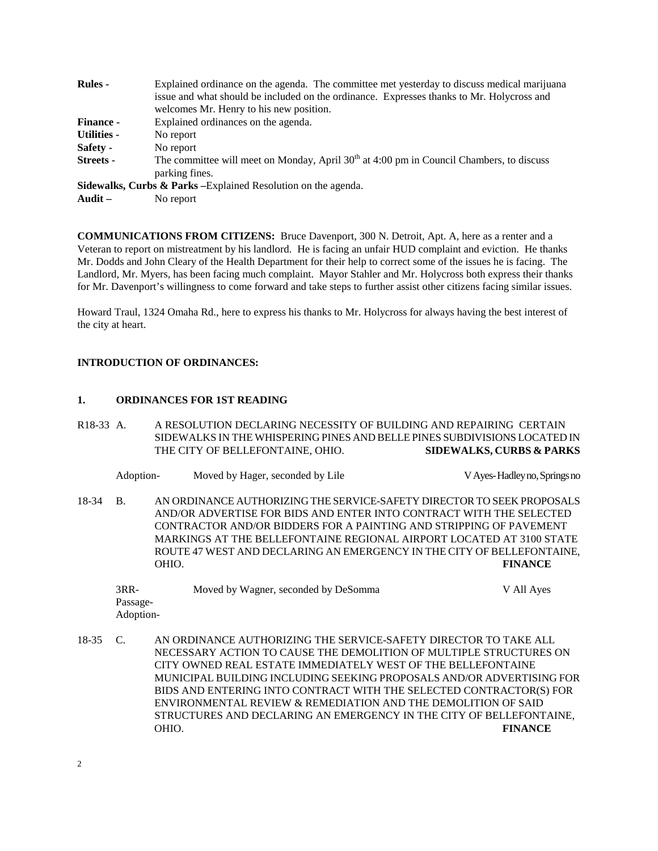| <b>Rules -</b>     | Explained ordinance on the agenda. The committee met yesterday to discuss medical marijuana |  |  |  |  |
|--------------------|---------------------------------------------------------------------------------------------|--|--|--|--|
|                    | issue and what should be included on the ordinance. Expresses thanks to Mr. Holycross and   |  |  |  |  |
|                    | welcomes Mr. Henry to his new position.                                                     |  |  |  |  |
| <b>Finance -</b>   | Explained ordinances on the agenda.                                                         |  |  |  |  |
| <b>Utilities -</b> | No report                                                                                   |  |  |  |  |
| Safety -           | No report                                                                                   |  |  |  |  |
| <b>Streets</b> -   | The committee will meet on Monday, April $30th$ at 4:00 pm in Council Chambers, to discuss  |  |  |  |  |
|                    | parking fines.                                                                              |  |  |  |  |
|                    | Sidewalks, Curbs & Parks - Explained Resolution on the agenda.                              |  |  |  |  |
| Audit $-$          | No report                                                                                   |  |  |  |  |

**COMMUNICATIONS FROM CITIZENS:** Bruce Davenport, 300 N. Detroit, Apt. A, here as a renter and a Veteran to report on mistreatment by his landlord. He is facing an unfair HUD complaint and eviction. He thanks Mr. Dodds and John Cleary of the Health Department for their help to correct some of the issues he is facing. The Landlord, Mr. Myers, has been facing much complaint. Mayor Stahler and Mr. Holycross both express their thanks for Mr. Davenport's willingness to come forward and take steps to further assist other citizens facing similar issues.

Howard Traul, 1324 Omaha Rd., here to express his thanks to Mr. Holycross for always having the best interest of the city at heart.

#### **INTRODUCTION OF ORDINANCES:**

#### **1. ORDINANCES FOR 1ST READING**

- R18-33 A. A RESOLUTION DECLARING NECESSITY OF BUILDING AND REPAIRING CERTAIN SIDEWALKS IN THE WHISPERING PINES AND BELLE PINES SUBDIVISIONS LOCATED IN THE CITY OF BELLEFONTAINE, OHIO. **SIDEWALKS, CURBS & PARKS**
	- Adoption- Moved by Hager, seconded by Lile V Ayes-Hadley no, Springs no

18-34 B. AN ORDINANCE AUTHORIZING THE SERVICE-SAFETY DIRECTOR TO SEEK PROPOSALS AND/OR ADVERTISE FOR BIDS AND ENTER INTO CONTRACT WITH THE SELECTED CONTRACTOR AND/OR BIDDERS FOR A PAINTING AND STRIPPING OF PAVEMENT MARKINGS AT THE BELLEFONTAINE REGIONAL AIRPORT LOCATED AT 3100 STATE ROUTE 47 WEST AND DECLARING AN EMERGENCY IN THE CITY OF BELLEFONTAINE, OHIO. **FINANCE**

| 3RR-      | Moved by Wagner, seconded by DeSomma | V All Ayes |
|-----------|--------------------------------------|------------|
| Passage-  |                                      |            |
| Adoption- |                                      |            |

18-35 C. AN ORDINANCE AUTHORIZING THE SERVICE-SAFETY DIRECTOR TO TAKE ALL NECESSARY ACTION TO CAUSE THE DEMOLITION OF MULTIPLE STRUCTURES ON CITY OWNED REAL ESTATE IMMEDIATELY WEST OF THE BELLEFONTAINE MUNICIPAL BUILDING INCLUDING SEEKING PROPOSALS AND/OR ADVERTISING FOR BIDS AND ENTERING INTO CONTRACT WITH THE SELECTED CONTRACTOR(S) FOR ENVIRONMENTAL REVIEW & REMEDIATION AND THE DEMOLITION OF SAID STRUCTURES AND DECLARING AN EMERGENCY IN THE CITY OF BELLEFONTAINE, OHIO. **FINANCE**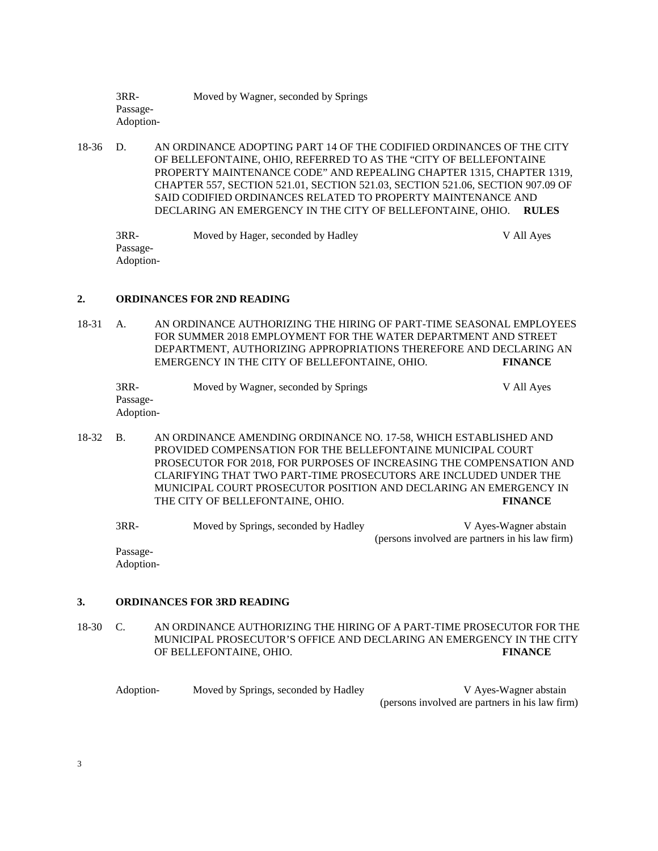3RR- Moved by Wagner, seconded by Springs Passage-Adoption-

18-36 D. AN ORDINANCE ADOPTING PART 14 OF THE CODIFIED ORDINANCES OF THE CITY OF BELLEFONTAINE, OHIO, REFERRED TO AS THE "CITY OF BELLEFONTAINE PROPERTY MAINTENANCE CODE" AND REPEALING CHAPTER 1315, CHAPTER 1319, CHAPTER 557, SECTION 521.01, SECTION 521.03, SECTION 521.06, SECTION 907.09 OF SAID CODIFIED ORDINANCES RELATED TO PROPERTY MAINTENANCE AND DECLARING AN EMERGENCY IN THE CITY OF BELLEFONTAINE, OHIO. **RULES**

3RR- Moved by Hager, seconded by Hadley V All Ayes Passage-Adoption-

### **2. ORDINANCES FOR 2ND READING**

18-31 A. AN ORDINANCE AUTHORIZING THE HIRING OF PART-TIME SEASONAL EMPLOYEES FOR SUMMER 2018 EMPLOYMENT FOR THE WATER DEPARTMENT AND STREET DEPARTMENT, AUTHORIZING APPROPRIATIONS THEREFORE AND DECLARING AN EMERGENCY IN THE CITY OF BELLEFONTAINE, OHIO. **FINANCE**

| 3RR-      | Moved by Wagner, seconded by Springs | V All Ayes |
|-----------|--------------------------------------|------------|
| Passage-  |                                      |            |
| Adoption- |                                      |            |

18-32 B. AN ORDINANCE AMENDING ORDINANCE NO. 17-58, WHICH ESTABLISHED AND PROVIDED COMPENSATION FOR THE BELLEFONTAINE MUNICIPAL COURT PROSECUTOR FOR 2018, FOR PURPOSES OF INCREASING THE COMPENSATION AND CLARIFYING THAT TWO PART-TIME PROSECUTORS ARE INCLUDED UNDER THE MUNICIPAL COURT PROSECUTOR POSITION AND DECLARING AN EMERGENCY IN THE CITY OF BELLEFONTAINE, OHIO. **FINANCE**

3RR- Moved by Springs, seconded by Hadley V Ayes-Wagner abstain (persons involved are partners in his law firm)

Passage-Adoption-

### **3. ORDINANCES FOR 3RD READING**

18-30 C. AN ORDINANCE AUTHORIZING THE HIRING OF A PART-TIME PROSECUTOR FOR THE MUNICIPAL PROSECUTOR'S OFFICE AND DECLARING AN EMERGENCY IN THE CITY OF BELLEFONTAINE, OHIO. **FINANCE**

Adoption-<br>Moved by Springs, seconded by Hadley V Ayes-Wagner abstain (persons involved are partners in his law firm)